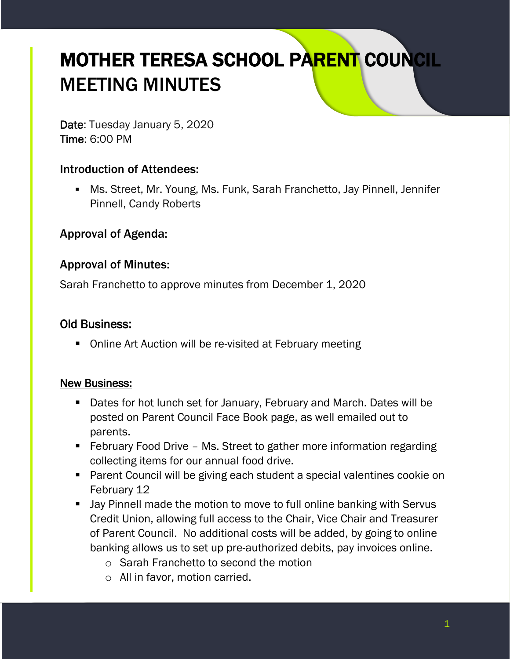# MOTHER TERESA SCHOOL PARENT COUNCIL MEETING MINUTES

Date: Tuesday January 5, 2020 Time: 6:00 PM

#### Introduction of Attendees:

**• Ms. Street, Mr. Young, Ms. Funk, Sarah Franchetto, Jay Pinnell, Jennifer** Pinnell, Candy Roberts

#### Approval of Agenda:

#### Approval of Minutes:

Sarah Franchetto to approve minutes from December 1, 2020

#### Old Business:

■ Online Art Auction will be re-visited at February meeting

#### New Business:

- Dates for hot lunch set for January, February and March. Dates will be posted on Parent Council Face Book page, as well emailed out to parents.
- February Food Drive Ms. Street to gather more information regarding collecting items for our annual food drive.
- Parent Council will be giving each student a special valentines cookie on February 12
- Jay Pinnell made the motion to move to full online banking with Servus Credit Union, allowing full access to the Chair, Vice Chair and Treasurer of Parent Council. No additional costs will be added, by going to online banking allows us to set up pre-authorized debits, pay invoices online.
	- o Sarah Franchetto to second the motion
	- o All in favor, motion carried.